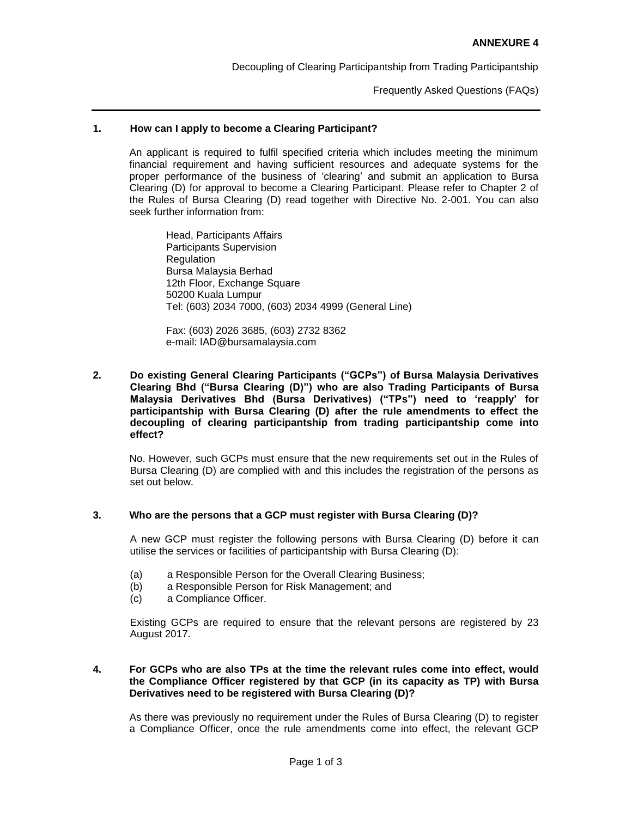Decoupling of Clearing Participantship from Trading Participantship

Frequently Asked Questions (FAQs)

## **1. How can I apply to become a Clearing Participant?**

An applicant is required to fulfil specified criteria which includes meeting the minimum financial requirement and having sufficient resources and adequate systems for the proper performance of the business of 'clearing' and submit an application to Bursa Clearing (D) for approval to become a Clearing Participant. Please refer to Chapter 2 of the Rules of Bursa Clearing (D) read together with Directive No. 2-001. You can also seek further information from:

Head, Participants Affairs Participants Supervision **Regulation** Bursa Malaysia Berhad 12th Floor, Exchange Square 50200 Kuala Lumpur Tel: (603) 2034 7000, (603) 2034 4999 (General Line)

Fax: (603) 2026 3685, (603) 2732 8362 e-mail: IAD@bursamalaysia.com

**2. Do existing General Clearing Participants ("GCPs") of Bursa Malaysia Derivatives Clearing Bhd ("Bursa Clearing (D)") who are also Trading Participants of Bursa Malaysia Derivatives Bhd (Bursa Derivatives) ("TPs") need to 'reapply' for participantship with Bursa Clearing (D) after the rule amendments to effect the decoupling of clearing participantship from trading participantship come into effect?**

No. However, such GCPs must ensure that the new requirements set out in the Rules of Bursa Clearing (D) are complied with and this includes the registration of the persons as set out below.

# **3. Who are the persons that a GCP must register with Bursa Clearing (D)?**

A new GCP must register the following persons with Bursa Clearing (D) before it can utilise the services or facilities of participantship with Bursa Clearing (D):

- (a) a Responsible Person for the Overall Clearing Business;
- (b) a Responsible Person for Risk Management; and
- (c) a Compliance Officer.

Existing GCPs are required to ensure that the relevant persons are registered by 23 August 2017.

# **4. For GCPs who are also TPs at the time the relevant rules come into effect, would the Compliance Officer registered by that GCP (in its capacity as TP) with Bursa Derivatives need to be registered with Bursa Clearing (D)?**

As there was previously no requirement under the Rules of Bursa Clearing (D) to register a Compliance Officer, once the rule amendments come into effect, the relevant GCP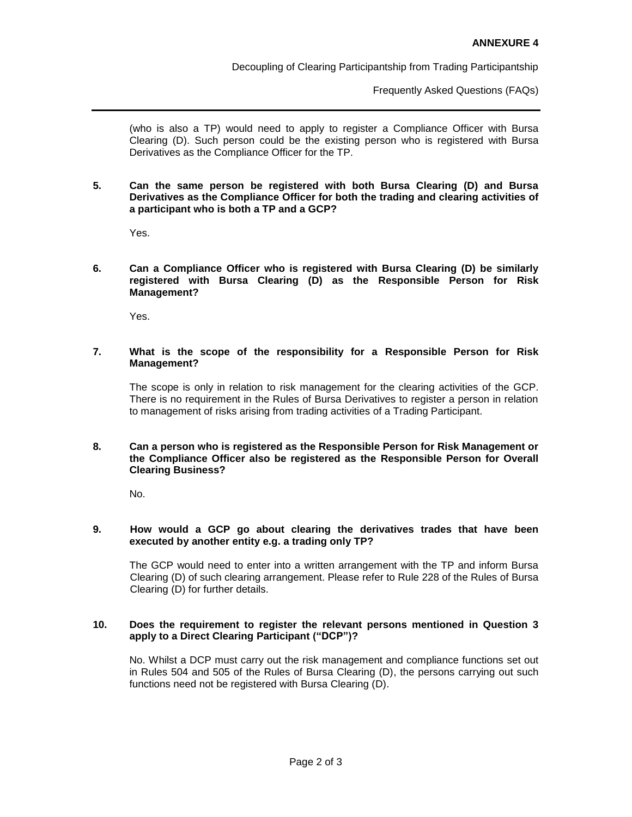Decoupling of Clearing Participantship from Trading Participantship

Frequently Asked Questions (FAQs)

(who is also a TP) would need to apply to register a Compliance Officer with Bursa Clearing (D). Such person could be the existing person who is registered with Bursa Derivatives as the Compliance Officer for the TP.

#### **5. Can the same person be registered with both Bursa Clearing (D) and Bursa Derivatives as the Compliance Officer for both the trading and clearing activities of a participant who is both a TP and a GCP?**

Yes.

#### **6. Can a Compliance Officer who is registered with Bursa Clearing (D) be similarly registered with Bursa Clearing (D) as the Responsible Person for Risk Management?**

Yes.

## **7. What is the scope of the responsibility for a Responsible Person for Risk Management?**

The scope is only in relation to risk management for the clearing activities of the GCP. There is no requirement in the Rules of Bursa Derivatives to register a person in relation to management of risks arising from trading activities of a Trading Participant.

#### **8. Can a person who is registered as the Responsible Person for Risk Management or the Compliance Officer also be registered as the Responsible Person for Overall Clearing Business?**

No.

#### **9. How would a GCP go about clearing the derivatives trades that have been executed by another entity e.g. a trading only TP?**

The GCP would need to enter into a written arrangement with the TP and inform Bursa Clearing (D) of such clearing arrangement. Please refer to Rule 228 of the Rules of Bursa Clearing (D) for further details.

## **10. Does the requirement to register the relevant persons mentioned in Question 3 apply to a Direct Clearing Participant ("DCP")?**

No. Whilst a DCP must carry out the risk management and compliance functions set out in Rules 504 and 505 of the Rules of Bursa Clearing (D), the persons carrying out such functions need not be registered with Bursa Clearing (D).